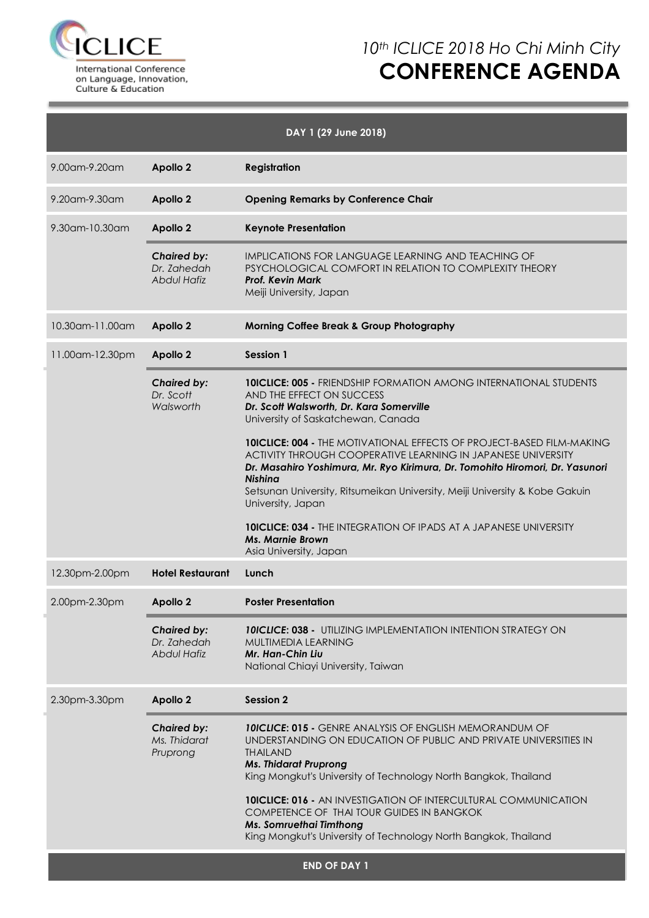

### *10th ICLICE 2018 Ho Chi Minh City* **CONFERENCE AGENDA**

| DAY 1 (29 June 2018) |                                                         |                                                                                                                                                                                                                                                                                                                                                     |  |  |  |  |
|----------------------|---------------------------------------------------------|-----------------------------------------------------------------------------------------------------------------------------------------------------------------------------------------------------------------------------------------------------------------------------------------------------------------------------------------------------|--|--|--|--|
| 9.00am-9.20am        | <b>Apollo 2</b>                                         | <b>Registration</b>                                                                                                                                                                                                                                                                                                                                 |  |  |  |  |
| 9.20am-9.30am        | <b>Apollo 2</b>                                         | <b>Opening Remarks by Conference Chair</b>                                                                                                                                                                                                                                                                                                          |  |  |  |  |
| $9.30$ am-10.30am    | <b>Apollo 2</b>                                         | <b>Keynote Presentation</b>                                                                                                                                                                                                                                                                                                                         |  |  |  |  |
|                      | <b>Chaired by:</b><br>Dr. 7ahedah<br><b>Abdul Hafiz</b> | IMPLICATIONS FOR LANGUAGE LEARNING AND TEACHING OF<br>PSYCHOLOGICAL COMFORT IN RELATION TO COMPLEXITY THEORY<br><b>Prof. Kevin Mark</b><br>Meiji University, Japan                                                                                                                                                                                  |  |  |  |  |
| 10.30am-11.00am      | <b>Apollo 2</b>                                         | <b>Morning Coffee Break &amp; Group Photography</b>                                                                                                                                                                                                                                                                                                 |  |  |  |  |
| 11.00am-12.30pm      | <b>Apollo 2</b>                                         | Session 1                                                                                                                                                                                                                                                                                                                                           |  |  |  |  |
|                      | <b>Chaired by:</b><br>Dr. Scott<br>Walsworth            | <b>10ICLICE: 005 - FRIENDSHIP FORMATION AMONG INTERNATIONAL STUDENTS</b><br>AND THE EFFECT ON SUCCESS<br>Dr. Scott Walsworth, Dr. Kara Somerville<br>University of Saskatchewan, Canada                                                                                                                                                             |  |  |  |  |
|                      |                                                         | <b>10ICLICE: 004 - THE MOTIVATIONAL EFFECTS OF PROJECT-BASED FILM-MAKING</b><br>ACTIVITY THROUGH COOPERATIVE LEARNING IN JAPANESE UNIVERSITY<br>Dr. Masahiro Yoshimura, Mr. Ryo Kirimura, Dr. Tomohito Hiromori, Dr. Yasunori<br><b>Nishina</b><br>Setsunan University, Ritsumeikan University, Meiji University & Kobe Gakuin<br>University, Japan |  |  |  |  |
|                      |                                                         | <b>10ICLICE: 034 - THE INTEGRATION OF IPADS AT A JAPANESE UNIVERSITY</b><br><b>Ms. Marnie Brown</b><br>Asia University, Japan                                                                                                                                                                                                                       |  |  |  |  |
| 12.30pm-2.00pm       | <b>Hotel Restaurant</b>                                 | Lunch                                                                                                                                                                                                                                                                                                                                               |  |  |  |  |
| 2.00pm-2.30pm        | <b>Apollo 2</b>                                         | <b>Poster Presentation</b>                                                                                                                                                                                                                                                                                                                          |  |  |  |  |
|                      | <b>Chaired by:</b><br>Dr. 7ahedah<br>Abdul Hafiz        | <b>10ICLICE: 038 - UTILIZING IMPLEMENTATION INTENTION STRATEGY ON</b><br>MULTIMEDIA LEARNING<br>Mr. Han-Chin Liu<br>National Chiayi University, Taiwan                                                                                                                                                                                              |  |  |  |  |
| 2.30pm-3.30pm        | <b>Apollo 2</b>                                         | <b>Session 2</b>                                                                                                                                                                                                                                                                                                                                    |  |  |  |  |
|                      | <b>Chaired by:</b><br>Ms. Thidarat<br>Pruprong          | <b>10ICLICE: 015 - GENRE ANALYSIS OF ENGLISH MEMORANDUM OF</b><br>UNDERSTANDING ON EDUCATION OF PUBLIC AND PRIVATE UNIVERSITIES IN<br><b>THAILAND</b><br><b>Ms. Thidarat Pruprong</b><br>King Mongkut's University of Technology North Bangkok, Thailand                                                                                            |  |  |  |  |
|                      |                                                         | <b>10ICLICE: 016 - AN INVESTIGATION OF INTERCULTURAL COMMUNICATION</b><br>COMPETENCE OF THAI TOUR GUIDES IN BANGKOK<br>Ms. Somruethai Timthong<br>King Mongkut's University of Technology North Bangkok, Thailand                                                                                                                                   |  |  |  |  |
|                      |                                                         | <b>END OF DAY 1</b>                                                                                                                                                                                                                                                                                                                                 |  |  |  |  |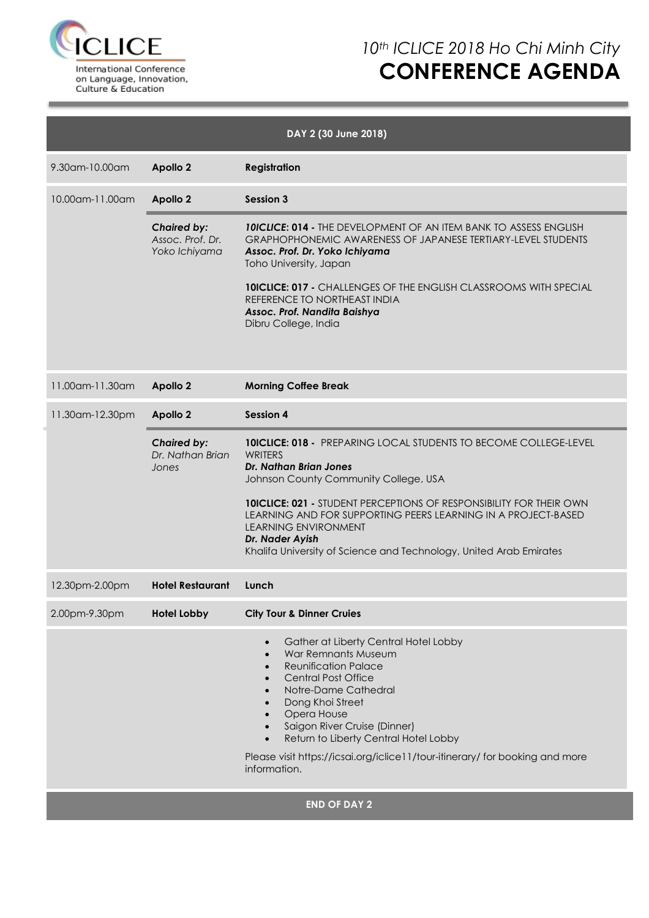

# *10th ICLICE 2018 Ho Chi Minh City* **CONFERENCE AGENDA**

| DAY 2 (30 June 2018) |                                                         |                                                                                                                                                                                                                                                                                                                                                                                                                       |  |  |  |  |
|----------------------|---------------------------------------------------------|-----------------------------------------------------------------------------------------------------------------------------------------------------------------------------------------------------------------------------------------------------------------------------------------------------------------------------------------------------------------------------------------------------------------------|--|--|--|--|
| 9.30am-10.00am       | <b>Apollo 2</b>                                         | <b>Registration</b>                                                                                                                                                                                                                                                                                                                                                                                                   |  |  |  |  |
| 10.00am-11.00am      | <b>Apollo 2</b>                                         | Session 3                                                                                                                                                                                                                                                                                                                                                                                                             |  |  |  |  |
|                      | <b>Chaired by:</b><br>Assoc. Prof. Dr.<br>Yoko Ichiyama | <b>10ICLICE: 014 - THE DEVELOPMENT OF AN ITEM BANK TO ASSESS ENGLISH</b><br><b>GRAPHOPHONEMIC AWARENESS OF JAPANESE TERTIARY-LEVEL STUDENTS</b><br>Assoc. Prof. Dr. Yoko Ichiyama<br>Toho University, Japan<br><b>10ICLICE: 017 - CHALLENGES OF THE ENGLISH CLASSROOMS WITH SPECIAL</b><br>REFERENCE TO NORTHEAST INDIA<br>Assoc. Prof. Nandita Baishya<br>Dibru College, India                                       |  |  |  |  |
| 11.00 am - 11.30 am  | <b>Apollo 2</b>                                         | <b>Morning Coffee Break</b>                                                                                                                                                                                                                                                                                                                                                                                           |  |  |  |  |
| 11.30am-12.30pm      | <b>Apollo 2</b>                                         | <b>Session 4</b>                                                                                                                                                                                                                                                                                                                                                                                                      |  |  |  |  |
|                      | <b>Chaired by:</b><br>Dr. Nathan Brian<br>Jones         | <b>10ICLICE: 018 - PREPARING LOCAL STUDENTS TO BECOME COLLEGE-LEVEL</b><br>WRITERS<br>Dr. Nathan Brian Jones<br>Johnson County Community College, USA<br><b>10ICLICE: 021 - STUDENT PERCEPTIONS OF RESPONSIBILITY FOR THEIR OWN</b><br>LEARNING AND FOR SUPPORTING PEERS LEARNING IN A PROJECT-BASED<br>LEARNING ENVIRONMENT<br>Dr. Nader Ayish<br>Khalifa University of Science and Technology, United Arab Emirates |  |  |  |  |
| 12.30pm-2.00pm       | <b>Hotel Restaurant</b>                                 | Lunch                                                                                                                                                                                                                                                                                                                                                                                                                 |  |  |  |  |
| 2.00pm-9.30pm        | <b>Hotel Lobby</b>                                      | <b>City Tour &amp; Dinner Cruies</b>                                                                                                                                                                                                                                                                                                                                                                                  |  |  |  |  |
|                      |                                                         | Gather at Liberty Central Hotel Lobby<br>War Remnants Museum<br><b>Reunification Palace</b><br><b>Central Post Office</b><br>Notre-Dame Cathedral<br>Dong Khoi Street<br>Opera House<br>Saigon River Cruise (Dinner)<br>Return to Liberty Central Hotel Lobby<br>Please visit https://icsai.org/iclice11/tour-itinerary/ for booking and more<br>information.                                                         |  |  |  |  |

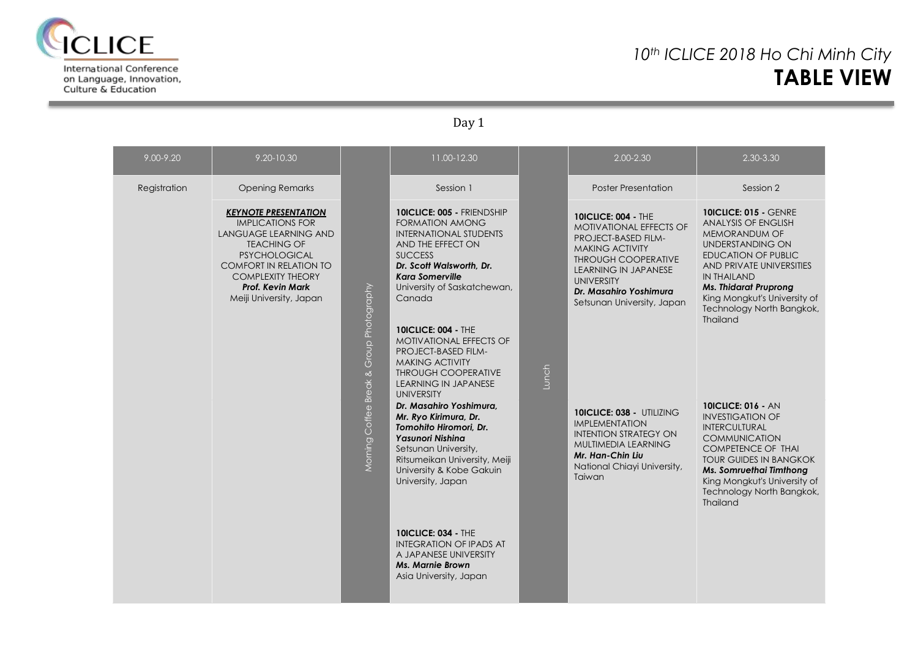

on Language, Innovation, Culture & Education

### *10th ICLICE 2018 Ho Chi Minh City* **TABLE VIEW**

Day 1

| 9.00-9.20    | 9.20-10.30                                                                                                                                                                                                                                              |                                             | 11.00-12.30                                                                                                                                                                                                                                                                                                                                                                                                        |       | 2.00-2.30                                                                                                                                                                                                                                        | 2.30-3.30                                                                                                                                                                                                                                                                                              |
|--------------|---------------------------------------------------------------------------------------------------------------------------------------------------------------------------------------------------------------------------------------------------------|---------------------------------------------|--------------------------------------------------------------------------------------------------------------------------------------------------------------------------------------------------------------------------------------------------------------------------------------------------------------------------------------------------------------------------------------------------------------------|-------|--------------------------------------------------------------------------------------------------------------------------------------------------------------------------------------------------------------------------------------------------|--------------------------------------------------------------------------------------------------------------------------------------------------------------------------------------------------------------------------------------------------------------------------------------------------------|
| Registration | <b>Opening Remarks</b>                                                                                                                                                                                                                                  |                                             | Session 1                                                                                                                                                                                                                                                                                                                                                                                                          |       | <b>Poster Presentation</b>                                                                                                                                                                                                                       | Session 2                                                                                                                                                                                                                                                                                              |
|              | <b>KEYNOTE PRESENTATION</b><br><b>IMPLICATIONS FOR</b><br><b>LANGUAGE LEARNING AND</b><br><b>TEACHING OF</b><br><b>PSYCHOLOGICAL</b><br><b>COMFORT IN RELATION TO</b><br><b>COMPLEXITY THEORY</b><br><b>Prof. Kevin Mark</b><br>Meiji University, Japan |                                             | <b>10ICLICE: 005 - FRIENDSHIP</b><br><b>FORMATION AMONG</b><br><b>INTERNATIONAL STUDENTS</b><br>AND THE EFFECT ON<br><b>SUCCESS</b><br>Dr. Scott Walsworth, Dr.<br><b>Kara Somerville</b><br>University of Saskatchewan,<br>Canada                                                                                                                                                                                 |       | <b>10ICLICE: 004 - THE</b><br><b>MOTIVATIONAL EFFECTS OF</b><br>PROJECT-BASED FILM-<br><b>MAKING ACTIVITY</b><br><b>THROUGH COOPERATIVE</b><br>LEARNING IN JAPANESE<br><b>UNIVERSITY</b><br>Dr. Masahiro Yoshimura<br>Setsunan University, Japan | <b>10ICLICE: 015 - GENRE</b><br><b>ANALYSIS OF ENGLISH</b><br><b>MEMORANDUM OF</b><br><b>UNDERSTANDING ON</b><br><b>EDUCATION OF PUBLIC</b><br>AND PRIVATE UNIVERSITIES<br><b>IN THAILAND</b><br><b>Ms. Thidarat Pruprong</b><br>King Mongkut's University of<br>Technology North Bangkok,<br>Thailand |
|              |                                                                                                                                                                                                                                                         | Group Photography<br>Morning Coffee Break & | <b>10ICLICE: 004 - THE</b><br><b>MOTIVATIONAL EFFECTS OF</b><br><b>PROJECT-BASED FILM-</b><br><b>MAKING ACTIVITY</b><br><b>THROUGH COOPERATIVE</b><br>LEARNING IN JAPANESE<br><b>UNIVERSITY</b><br>Dr. Masahiro Yoshimura.<br>Mr. Ryo Kirimura, Dr.<br>Tomohito Hiromori, Dr.<br><b>Yasunori Nishina</b><br>Setsunan University,<br>Ritsumeikan University, Meiji<br>University & Kobe Gakuin<br>University, Japan | Lunch | 10ICLICE: 038 - UTILIZING<br><b>IMPLEMENTATION</b><br><b>INTENTION STRATEGY ON</b><br>MULTIMEDIA LEARNING<br>Mr. Han-Chin Liu<br>National Chiayi University,<br>Taiwan                                                                           | <b>10ICLICE: 016 - AN</b><br><b>INVESTIGATION OF</b><br>INTERCULTURAL<br><b>COMMUNICATION</b><br><b>COMPETENCE OF THAI</b><br><b>TOUR GUIDES IN BANGKOK</b><br>Ms. Somruethai Timthong<br>King Mongkut's University of<br>Technology North Bangkok,<br><b>Thailand</b>                                 |
|              |                                                                                                                                                                                                                                                         |                                             | <b>10ICLICE: 034 - THE</b><br><b>INTEGRATION OF IPADS AT</b><br>A JAPANESE UNIVERSITY<br><b>Ms. Marnie Brown</b><br>Asia University, Japan                                                                                                                                                                                                                                                                         |       |                                                                                                                                                                                                                                                  |                                                                                                                                                                                                                                                                                                        |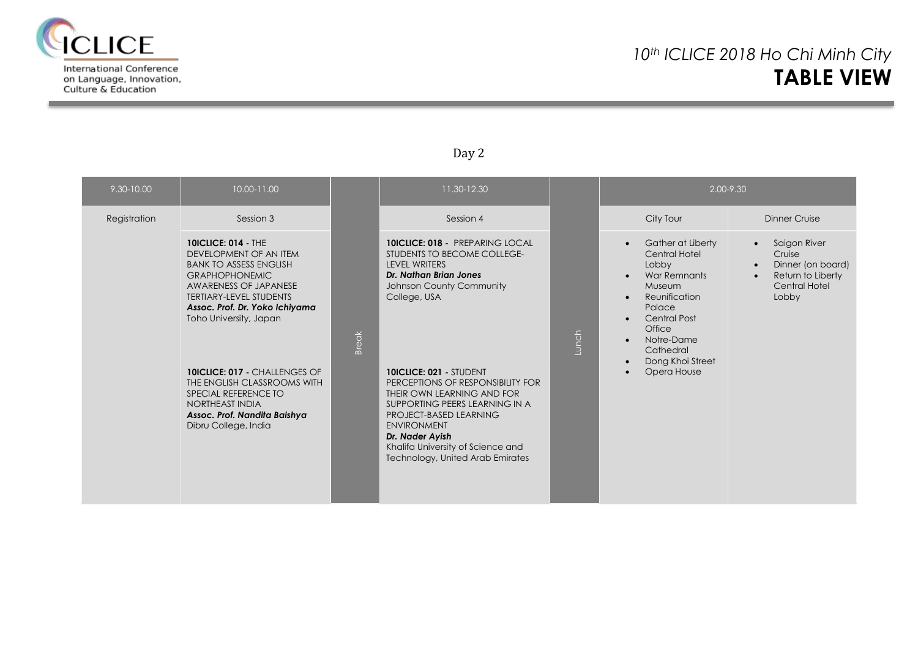

on Language, Innovation, Culture & Education

### Day 2

| 9.30-10.00   | 10.00-11.00                                                                                                                                                                                                                                                                                                                                      |              | 11.30-12.30                                                                                                                                                                                                                                                                                                |       | 2.00-9.30                                                                                                                                                                                                                                                                                         |                                                                                                                      |  |
|--------------|--------------------------------------------------------------------------------------------------------------------------------------------------------------------------------------------------------------------------------------------------------------------------------------------------------------------------------------------------|--------------|------------------------------------------------------------------------------------------------------------------------------------------------------------------------------------------------------------------------------------------------------------------------------------------------------------|-------|---------------------------------------------------------------------------------------------------------------------------------------------------------------------------------------------------------------------------------------------------------------------------------------------------|----------------------------------------------------------------------------------------------------------------------|--|
| Registration | Session 3                                                                                                                                                                                                                                                                                                                                        |              | Session 4                                                                                                                                                                                                                                                                                                  |       | City Tour                                                                                                                                                                                                                                                                                         | <b>Dinner Cruise</b>                                                                                                 |  |
|              | <b>10ICLICE: 014 - THE</b><br>DEVELOPMENT OF AN ITEM<br><b>BANK TO ASSESS ENGLISH</b><br><b>GRAPHOPHONEMIC</b><br>AWARENESS OF JAPANESE<br><b>TERTIARY-LEVEL STUDENTS</b><br>Assoc. Prof. Dr. Yoko Ichiyama<br>Toho University, Japan<br>10ICLICE: 017 - CHALLENGES OF<br>THE ENGLISH CLASSROOMS WITH<br>SPECIAL REFERENCE TO<br>NORTHEAST INDIA | <b>Break</b> | <b>10ICLICE: 018 - PREPARING LOCAL</b><br>STUDENTS TO BECOME COLLEGE-<br>LEVEL WRITERS<br><b>Dr. Nathan Brian Jones</b><br>Johnson County Community<br>College, USA<br><b>10ICLICE: 021 - STUDENT</b><br>PERCEPTIONS OF RESPONSIBILITY FOR<br>THEIR OWN LEARNING AND FOR<br>SUPPORTING PEERS LEARNING IN A | Lunch | Gather at Liberty<br>$\bullet$<br>Central Hotel<br>Lobby<br>War Remnants<br>$\bullet$<br><b>Museum</b><br>Reunification<br>$\bullet$<br>Palace<br><b>Central Post</b><br>$\bullet$<br>Office<br>Notre-Dame<br>$\bullet$<br>Cathedral<br>Dong Khoi Street<br>$\bullet$<br>Opera House<br>$\bullet$ | Saigon River<br>$\bullet$<br>Cruise<br>Dinner (on board)<br>$\bullet$<br>Return to Liberty<br>Central Hotel<br>Lobby |  |
|              | Assoc. Prof. Nandita Baishya<br>Dibru College, India                                                                                                                                                                                                                                                                                             |              | PROJECT-BASED LEARNING<br><b>ENVIRONMENT</b><br>Dr. Nader Ayish<br>Khalifa University of Science and<br>Technology, United Arab Emirates                                                                                                                                                                   |       |                                                                                                                                                                                                                                                                                                   |                                                                                                                      |  |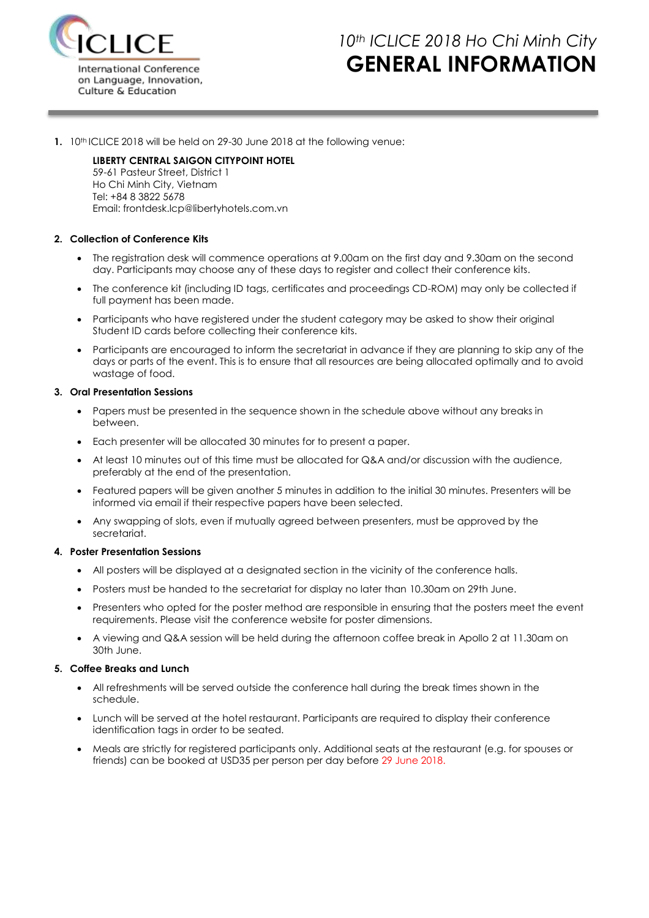

# *10th ICLICE 2018 Ho Chi Minh City* **GENERAL INFORMATION**

**1.** 10th ICLICE 2018 will be held on 29-30 June 2018 at the following venue:

#### **LIBERTY CENTRAL SAIGON CITYPOINT HOTEL**

59-61 Pasteur Street, District 1 Ho Chi Minh City, Vietnam Tel: +84 8 3822 5678 Email: frontdesk.lcp@libertyhotels.com.vn

#### **2. Collection of Conference Kits**

- The registration desk will commence operations at 9.00am on the first day and 9.30am on the second day. Participants may choose any of these days to register and collect their conference kits.
- The conference kit (including ID tags, certificates and proceedings CD-ROM) may only be collected if full payment has been made.
- Participants who have registered under the student category may be asked to show their original Student ID cards before collecting their conference kits.
- Participants are encouraged to inform the secretariat in advance if they are planning to skip any of the days or parts of the event. This is to ensure that all resources are being allocated optimally and to avoid wastage of food.

#### **3. Oral Presentation Sessions**

- Papers must be presented in the sequence shown in the schedule above without any breaks in between.
- Each presenter will be allocated 30 minutes for to present a paper.
- At least 10 minutes out of this time must be allocated for Q&A and/or discussion with the audience, preferably at the end of the presentation.
- Featured papers will be given another 5 minutes in addition to the initial 30 minutes. Presenters will be informed via email if their respective papers have been selected.
- Any swapping of slots, even if mutually agreed between presenters, must be approved by the secretariat.

#### **4. Poster Presentation Sessions**

- All posters will be displayed at a designated section in the vicinity of the conference halls.
- Posters must be handed to the secretariat for display no later than 10.30am on 29th June.
- Presenters who opted for the poster method are responsible in ensuring that the posters meet the event requirements. Please visit the conference website for poster dimensions.
- A viewing and Q&A session will be held during the afternoon coffee break in Apollo 2 at 11.30am on 30th June.

#### **5. Coffee Breaks and Lunch**

- All refreshments will be served outside the conference hall during the break times shown in the schedule.
- Lunch will be served at the hotel restaurant. Participants are required to display their conference identification tags in order to be seated.
- Meals are strictly for registered participants only. Additional seats at the restaurant (e.g. for spouses or friends) can be booked at USD35 per person per day before 29 June 2018.